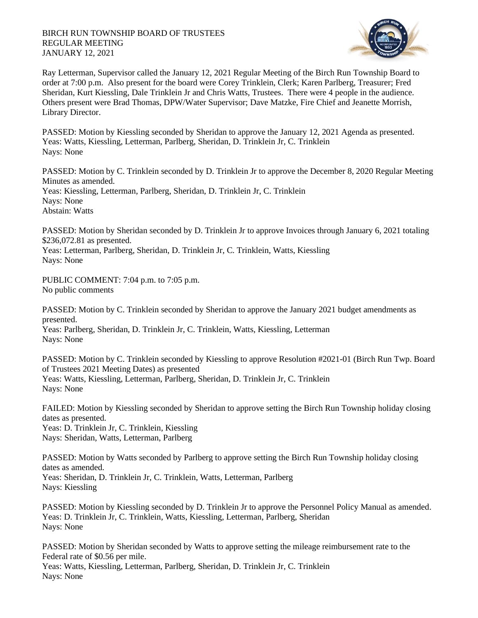## BIRCH RUN TOWNSHIP BOARD OF TRUSTEES REGULAR MEETING JANUARY 12, 2021



Ray Letterman, Supervisor called the January 12, 2021 Regular Meeting of the Birch Run Township Board to order at 7:00 p.m. Also present for the board were Corey Trinklein, Clerk; Karen Parlberg, Treasurer; Fred Sheridan, Kurt Kiessling, Dale Trinklein Jr and Chris Watts, Trustees. There were 4 people in the audience. Others present were Brad Thomas, DPW/Water Supervisor; Dave Matzke, Fire Chief and Jeanette Morrish, Library Director.

PASSED: Motion by Kiessling seconded by Sheridan to approve the January 12, 2021 Agenda as presented. Yeas: Watts, Kiessling, Letterman, Parlberg, Sheridan, D. Trinklein Jr, C. Trinklein Nays: None

PASSED: Motion by C. Trinklein seconded by D. Trinklein Jr to approve the December 8, 2020 Regular Meeting Minutes as amended. Yeas: Kiessling, Letterman, Parlberg, Sheridan, D. Trinklein Jr, C. Trinklein Nays: None Abstain: Watts

PASSED: Motion by Sheridan seconded by D. Trinklein Jr to approve Invoices through January 6, 2021 totaling \$236,072.81 as presented.

Yeas: Letterman, Parlberg, Sheridan, D. Trinklein Jr, C. Trinklein, Watts, Kiessling Nays: None

PUBLIC COMMENT: 7:04 p.m. to 7:05 p.m. No public comments

PASSED: Motion by C. Trinklein seconded by Sheridan to approve the January 2021 budget amendments as presented.

Yeas: Parlberg, Sheridan, D. Trinklein Jr, C. Trinklein, Watts, Kiessling, Letterman Nays: None

PASSED: Motion by C. Trinklein seconded by Kiessling to approve Resolution #2021-01 (Birch Run Twp. Board of Trustees 2021 Meeting Dates) as presented Yeas: Watts, Kiessling, Letterman, Parlberg, Sheridan, D. Trinklein Jr, C. Trinklein Nays: None

FAILED: Motion by Kiessling seconded by Sheridan to approve setting the Birch Run Township holiday closing dates as presented. Yeas: D. Trinklein Jr, C. Trinklein, Kiessling

Nays: Sheridan, Watts, Letterman, Parlberg

PASSED: Motion by Watts seconded by Parlberg to approve setting the Birch Run Township holiday closing dates as amended.

Yeas: Sheridan, D. Trinklein Jr, C. Trinklein, Watts, Letterman, Parlberg Nays: Kiessling

PASSED: Motion by Kiessling seconded by D. Trinklein Jr to approve the Personnel Policy Manual as amended. Yeas: D. Trinklein Jr, C. Trinklein, Watts, Kiessling, Letterman, Parlberg, Sheridan Nays: None

PASSED: Motion by Sheridan seconded by Watts to approve setting the mileage reimbursement rate to the Federal rate of \$0.56 per mile.

Yeas: Watts, Kiessling, Letterman, Parlberg, Sheridan, D. Trinklein Jr, C. Trinklein Nays: None